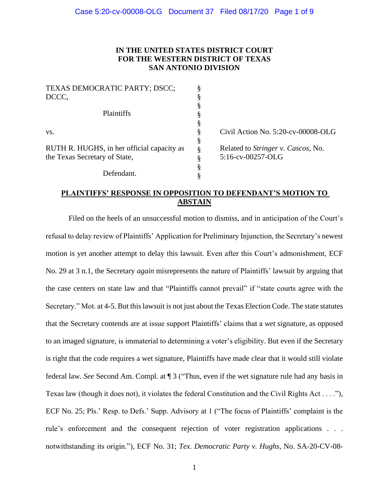## **IN THE UNITED STATES DISTRICT COURT FOR THE WESTERN DISTRICT OF TEXAS SAN ANTONIO DIVISION**

| Civil Action No. 5:20-cv-00008-OLG         |
|--------------------------------------------|
|                                            |
| Related to <i>Stringer v. Cascos</i> , No. |
| 5:16-cv-00257-OLG                          |
|                                            |
|                                            |
|                                            |

# **PLAINTIFFS' RESPONSE IN OPPOSITION TO DEFENDANT'S MOTION TO ABSTAIN**

Filed on the heels of an unsuccessful motion to dismiss, and in anticipation of the Court's refusal to delay review of Plaintiffs' Application for Preliminary Injunction, the Secretary's newest motion is yet another attempt to delay this lawsuit. Even after this Court's admonishment, ECF No. 29 at 3 n.1, the Secretary *again* misrepresents the nature of Plaintiffs' lawsuit by arguing that the case centers on state law and that "Plaintiffs cannot prevail" if "state courts agree with the Secretary." Mot. at 4-5. But this lawsuit is not just about the Texas Election Code. The state statutes that the Secretary contends are at issue support Plaintiffs' claims that a *wet* signature, as opposed to an imaged signature, is immaterial to determining a voter's eligibility. But even if the Secretary is right that the code requires a wet signature, Plaintiffs have made clear that it would still violate federal law. *See* Second Am. Compl. at ¶ 3 ("Thus, even if the wet signature rule had any basis in Texas law (though it does not), it violates the federal Constitution and the Civil Rights Act . . . ."), ECF No. 25; Pls.' Resp. to Defs.' Supp. Advisory at 1 ("The focus of Plaintiffs' complaint is the rule's enforcement and the consequent rejection of voter registration applications . . . notwithstanding its origin."), ECF No. 31; *Tex. Democratic Party v. Hughs*, No. SA-20-CV-08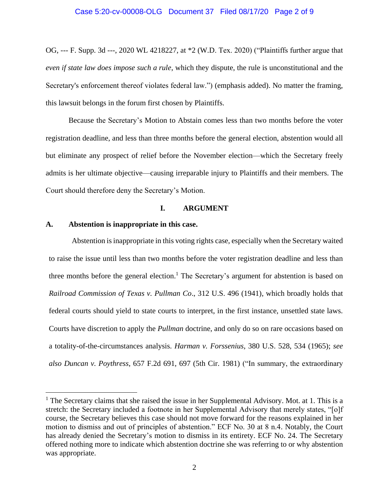OG, --- F. Supp. 3d ---, 2020 WL 4218227, at \*2 (W.D. Tex. 2020) ("Plaintiffs further argue that *even if state law does impose such a rule*, which they dispute, the rule is unconstitutional and the Secretary's enforcement thereof violates federal law.") (emphasis added). No matter the framing, this lawsuit belongs in the forum first chosen by Plaintiffs.

Because the Secretary's Motion to Abstain comes less than two months before the voter registration deadline, and less than three months before the general election, abstention would all but eliminate any prospect of relief before the November election—which the Secretary freely admits is her ultimate objective—causing irreparable injury to Plaintiffs and their members. The Court should therefore deny the Secretary's Motion.

## **I. ARGUMENT**

## **A. Abstention is inappropriate in this case.**

 $\overline{\phantom{a}}$ 

Abstention is inappropriate in this voting rights case, especially when the Secretary waited to raise the issue until less than two months before the voter registration deadline and less than three months before the general election.<sup>1</sup> The Secretary's argument for abstention is based on *Railroad Commission of Texas v. Pullman Co*., 312 U.S. 496 (1941), which broadly holds that federal courts should yield to state courts to interpret, in the first instance, unsettled state laws. Courts have discretion to apply the *Pullman* doctrine, and only do so on rare occasions based on a totality-of-the-circumstances analysis. *Harman v. Forssenius*, 380 U.S. 528, 534 (1965); *see also Duncan v. Poythress*, 657 F.2d 691, 697 (5th Cir. 1981) ("In summary, the extraordinary

<sup>&</sup>lt;sup>1</sup> The Secretary claims that she raised the issue in her Supplemental Advisory. Mot. at 1. This is a stretch: the Secretary included a footnote in her Supplemental Advisory that merely states, "[o]f course, the Secretary believes this case should not move forward for the reasons explained in her motion to dismiss and out of principles of abstention." ECF No. 30 at 8 n.4. Notably, the Court has already denied the Secretary's motion to dismiss in its entirety. ECF No. 24. The Secretary offered nothing more to indicate which abstention doctrine she was referring to or why abstention was appropriate.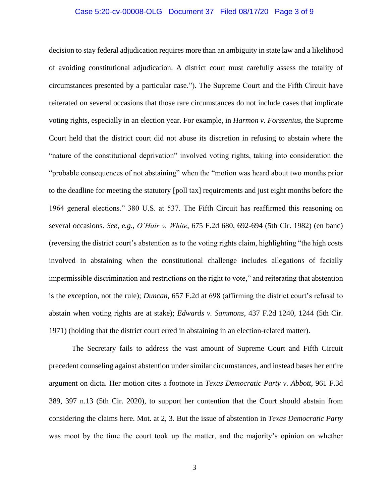## Case 5:20-cv-00008-OLG Document 37 Filed 08/17/20 Page 3 of 9

decision to stay federal adjudication requires more than an ambiguity in state law and a likelihood of avoiding constitutional adjudication. A district court must carefully assess the totality of circumstances presented by a particular case."). The Supreme Court and the Fifth Circuit have reiterated on several occasions that those rare circumstances do not include cases that implicate voting rights, especially in an election year. For example, in *Harmon v. Forssenius*, the Supreme Court held that the district court did not abuse its discretion in refusing to abstain where the "nature of the constitutional deprivation" involved voting rights, taking into consideration the "probable consequences of not abstaining" when the "motion was heard about two months prior to the deadline for meeting the statutory [poll tax] requirements and just eight months before the 1964 general elections." 380 U.S. at 537. The Fifth Circuit has reaffirmed this reasoning on several occasions. *See, e.g., O'Hair v. White*, 675 F.2d 680, 692-694 (5th Cir. 1982) (en banc) (reversing the district court's abstention as to the voting rights claim, highlighting "the high costs involved in abstaining when the constitutional challenge includes allegations of facially impermissible discrimination and restrictions on the right to vote," and reiterating that abstention is the exception, not the rule); *Duncan*, 657 F.2d at 698 (affirming the district court's refusal to abstain when voting rights are at stake); *Edwards v. Sammons*, 437 F.2d 1240, 1244 (5th Cir. 1971) (holding that the district court erred in abstaining in an election-related matter).

The Secretary fails to address the vast amount of Supreme Court and Fifth Circuit precedent counseling against abstention under similar circumstances, and instead bases her entire argument on dicta. Her motion cites a footnote in *Texas Democratic Party v. Abbott*, 961 F.3d 389, 397 n.13 (5th Cir. 2020), to support her contention that the Court should abstain from considering the claims here. Mot. at 2, 3. But the issue of abstention in *Texas Democratic Party* was moot by the time the court took up the matter, and the majority's opinion on whether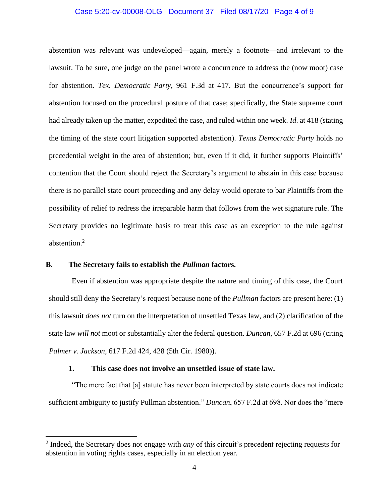## Case 5:20-cv-00008-OLG Document 37 Filed 08/17/20 Page 4 of 9

abstention was relevant was undeveloped—again, merely a footnote—and irrelevant to the lawsuit. To be sure, one judge on the panel wrote a concurrence to address the (now moot) case for abstention. *Tex. Democratic Party*, 961 F.3d at 417. But the concurrence's support for abstention focused on the procedural posture of that case; specifically, the State supreme court had already taken up the matter, expedited the case, and ruled within one week. *Id*. at 418 (stating the timing of the state court litigation supported abstention). *Texas Democratic Party* holds no precedential weight in the area of abstention; but, even if it did, it further supports Plaintiffs' contention that the Court should reject the Secretary's argument to abstain in this case because there is no parallel state court proceeding and any delay would operate to bar Plaintiffs from the possibility of relief to redress the irreparable harm that follows from the wet signature rule. The Secretary provides no legitimate basis to treat this case as an exception to the rule against abstention.<sup>2</sup>

## **B. The Secretary fails to establish the** *Pullman* **factors.**

 $\overline{\phantom{a}}$ 

Even if abstention was appropriate despite the nature and timing of this case, the Court should still deny the Secretary's request because none of the *Pullman* factors are present here: (1) this lawsuit *does not* turn on the interpretation of unsettled Texas law, and (2) clarification of the state law *will not* moot or substantially alter the federal question. *Duncan*, 657 F.2d at 696 (citing *Palmer v. Jackson*, 617 F.2d 424, 428 (5th Cir. 1980)).

## **1. This case does not involve an unsettled issue of state law.**

"The mere fact that [a] statute has never been interpreted by state courts does not indicate sufficient ambiguity to justify Pullman abstention." *Duncan*, 657 F.2d at 698. Nor does the "mere

<sup>2</sup> Indeed, the Secretary does not engage with *any* of this circuit's precedent rejecting requests for abstention in voting rights cases, especially in an election year.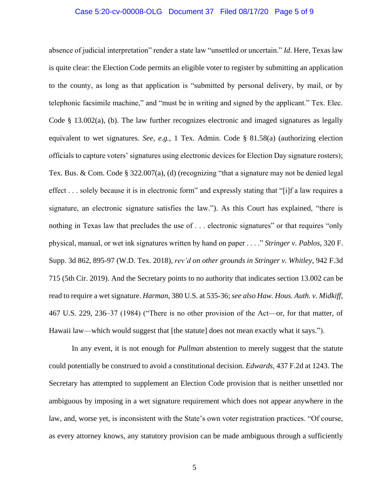## Case 5:20-cv-00008-OLG Document 37 Filed 08/17/20 Page 5 of 9

absence of judicial interpretation" render a state law "unsettled or uncertain." *Id*. Here, Texas law is quite clear: the Election Code permits an eligible voter to register by submitting an application to the county, as long as that application is "submitted by personal delivery, by mail, or by telephonic facsimile machine," and "must be in writing and signed by the applicant." Tex. Elec. Code  $\S$  13.002(a), (b). The law further recognizes electronic and imaged signatures as legally equivalent to wet signatures. *See, e.g.*, 1 Tex. Admin. Code § 81.58(a) (authorizing election officials to capture voters' signatures using electronic devices for Election Day signature rosters); Tex. Bus. & Com. Code § 322.007(a), (d) (recognizing "that a signature may not be denied legal effect . . . solely because it is in electronic form" and expressly stating that "[i]f a law requires a signature, an electronic signature satisfies the law."). As this Court has explained, "there is nothing in Texas law that precludes the use of . . . electronic signatures" or that requires "only physical, manual, or wet ink signatures written by hand on paper . . . ." *Stringer v. Pablos*, 320 F. Supp. 3d 862, 895-97 (W.D. Tex. 2018), *rev'd on other grounds in Stringer v. Whitley*, 942 F.3d 715 (5th Cir. 2019). And the Secretary points to no authority that indicates section 13.002 can be read to require a wet signature. *Harman*, 380 U.S. at 535-36; *see also Haw. Hous. Auth. v. Midkiff*, 467 U.S. 229, 236–37 (1984) ("There is no other provision of the Act—or, for that matter, of Hawaii law—which would suggest that [the statute] does not mean exactly what it says.").

In any event, it is not enough for *Pullman* abstention to merely suggest that the statute could potentially be construed to avoid a constitutional decision. *Edwards*, 437 F.2d at 1243. The Secretary has attempted to supplement an Election Code provision that is neither unsettled nor ambiguous by imposing in a wet signature requirement which does not appear anywhere in the law, and, worse yet, is inconsistent with the State's own voter registration practices. "Of course, as every attorney knows, any statutory provision can be made ambiguous through a sufficiently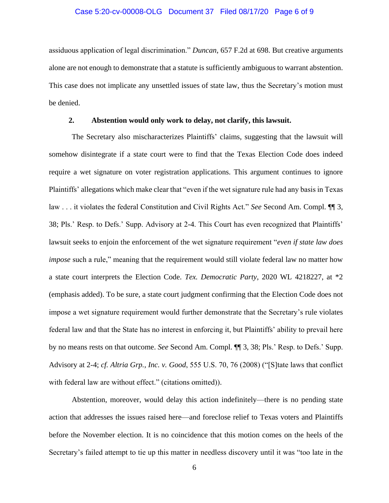## Case 5:20-cv-00008-OLG Document 37 Filed 08/17/20 Page 6 of 9

assiduous application of legal discrimination." *Duncan*, 657 F.2d at 698. But creative arguments alone are not enough to demonstrate that a statute is sufficiently ambiguous to warrant abstention. This case does not implicate any unsettled issues of state law, thus the Secretary's motion must be denied.

## **2. Abstention would only work to delay, not clarify, this lawsuit.**

The Secretary also mischaracterizes Plaintiffs' claims, suggesting that the lawsuit will somehow disintegrate if a state court were to find that the Texas Election Code does indeed require a wet signature on voter registration applications. This argument continues to ignore Plaintiffs' allegations which make clear that "even if the wet signature rule had any basis in Texas law . . . it violates the federal Constitution and Civil Rights Act." *See* Second Am. Compl. ¶¶ 3, 38; Pls.' Resp. to Defs.' Supp. Advisory at 2-4. This Court has even recognized that Plaintiffs' lawsuit seeks to enjoin the enforcement of the wet signature requirement "*even if state law does impose* such a rule," meaning that the requirement would still violate federal law no matter how a state court interprets the Election Code. *Tex. Democratic Party*, 2020 WL 4218227, at \*2 (emphasis added). To be sure, a state court judgment confirming that the Election Code does not impose a wet signature requirement would further demonstrate that the Secretary's rule violates federal law and that the State has no interest in enforcing it, but Plaintiffs' ability to prevail here by no means rests on that outcome. *See* Second Am. Compl. ¶¶ 3, 38; Pls.' Resp. to Defs.' Supp. Advisory at 2-4; *cf. Altria Grp., Inc. v. Good*, 555 U.S. 70, 76 (2008) ("[S]tate laws that conflict with federal law are without effect." (citations omitted)).

Abstention, moreover, would delay this action indefinitely—there is no pending state action that addresses the issues raised here—and foreclose relief to Texas voters and Plaintiffs before the November election. It is no coincidence that this motion comes on the heels of the Secretary's failed attempt to tie up this matter in needless discovery until it was "too late in the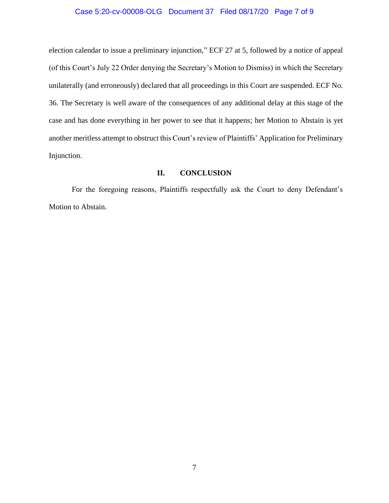## Case 5:20-cv-00008-OLG Document 37 Filed 08/17/20 Page 7 of 9

election calendar to issue a preliminary injunction," ECF 27 at 5, followed by a notice of appeal (of this Court's July 22 Order denying the Secretary's Motion to Dismiss) in which the Secretary unilaterally (and erroneously) declared that all proceedings in this Court are suspended. ECF No. 36. The Secretary is well aware of the consequences of any additional delay at this stage of the case and has done everything in her power to see that it happens; her Motion to Abstain is yet another meritless attempt to obstruct this Court's review of Plaintiffs' Application for Preliminary Injunction.

## **II. CONCLUSION**

For the foregoing reasons, Plaintiffs respectfully ask the Court to deny Defendant's Motion to Abstain.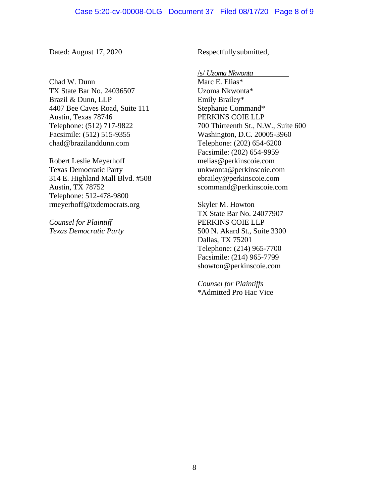Dated: August 17, 2020

Chad W. Dunn TX State Bar No. 24036507 Brazil & Dunn, LLP 4407 Bee Caves Road, Suite 111 Austin, Texas 78746 Telephone: (512) 717-9822 Facsimile: (512) 515-9355 chad@brazilanddunn.com

Robert Leslie Meyerhoff Texas Democratic Party 314 E. Highland Mall Blvd. #508 Austin, TX 78752 Telephone: 512-478-9800 rmeyerhoff@txdemocrats.org

*Counsel for Plaintiff Texas Democratic Party* Respectfully submitted,

/s/ *Uzoma Nkwonta* Marc E. Elias\* Uzoma Nkwonta\* Emily Brailey\* Stephanie Command\* PERKINS COIE LLP 700 Thirteenth St., N.W., Suite 600 Washington, D.C. 20005-3960 Telephone: (202) 654-6200 Facsimile: (202) 654-9959 melias@perkinscoie.com unkwonta@perkinscoie.com ebrailey@perkinscoie.com scommand@perkinscoie.com

Skyler M. Howton TX State Bar No. 24077907 PERKINS COIE LLP 500 N. Akard St., Suite 3300 Dallas, TX 75201 Telephone: (214) 965-7700 Facsimile: (214) 965-7799 showton@perkinscoie.com

*Counsel for Plaintiffs* \*Admitted Pro Hac Vice